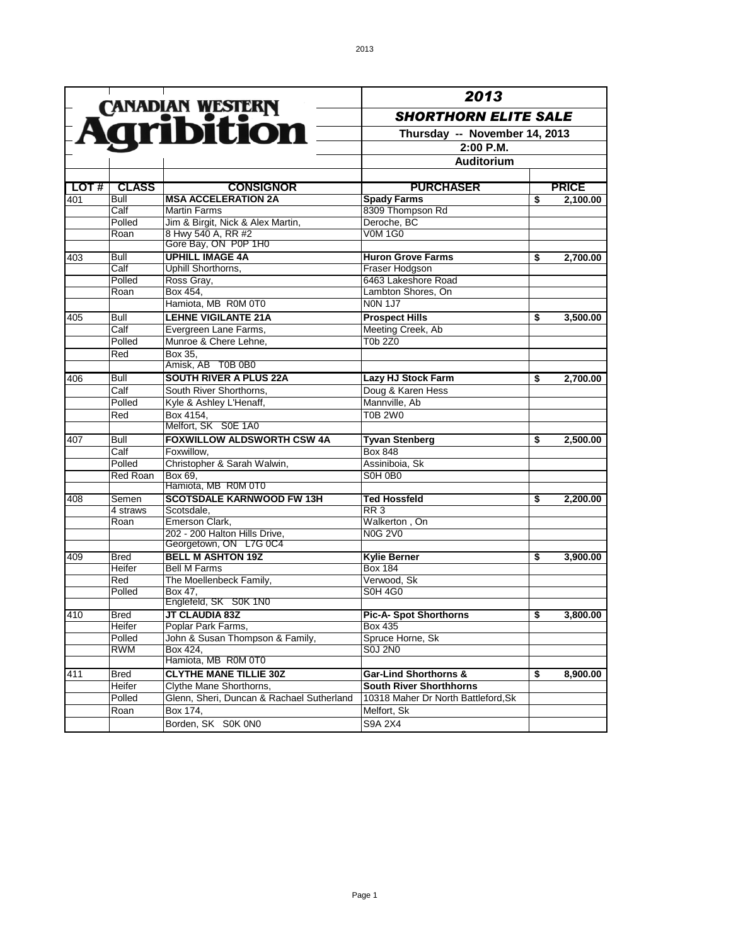|                  |                          |                                                                      | 2013                                                                      |    |              |  |
|------------------|--------------------------|----------------------------------------------------------------------|---------------------------------------------------------------------------|----|--------------|--|
|                  |                          | <b>Agribition</b>                                                    | <b>SHORTHORN ELITE SALE</b><br>Thursday -- November 14, 2013<br>2:00 P.M. |    |              |  |
|                  |                          |                                                                      |                                                                           |    |              |  |
|                  |                          |                                                                      |                                                                           |    |              |  |
|                  |                          |                                                                      | Auditorium                                                                |    |              |  |
|                  |                          |                                                                      |                                                                           |    |              |  |
|                  |                          |                                                                      |                                                                           |    |              |  |
| LOT#             | <b>CLASS</b>             | <b>CONSIGNOR</b><br><b>MSA ACCELERATION 2A</b>                       | <b>PURCHASER</b>                                                          |    | <b>PRICE</b> |  |
| 401              | Bull<br>Calf             | <b>Martin Farms</b>                                                  | <b>Spady Farms</b><br>8309 Thompson Rd                                    | \$ | 2,100.00     |  |
|                  | Polled                   | Jim & Birgit, Nick & Alex Martin,                                    | Deroche, BC                                                               |    |              |  |
|                  | Roan                     | 8 Hwy 540 A, RR #2                                                   | <b>V0M 1G0</b>                                                            |    |              |  |
|                  |                          | Gore Bay, ON P0P 1H0                                                 |                                                                           |    |              |  |
| 403              | Bull                     | <b>UPHILL IMAGE 4A</b>                                               | <b>Huron Grove Farms</b>                                                  | \$ | 2,700.00     |  |
|                  | Calf                     | Uphill Shorthorns,                                                   | Fraser Hodgson                                                            |    |              |  |
|                  | Polled                   | Ross Gray,                                                           | 6463 Lakeshore Road                                                       |    |              |  |
|                  | Roan                     | Box 454,                                                             | Lambton Shores, On                                                        |    |              |  |
|                  |                          | Hamiota, MB R0M 0T0                                                  | <b>NON 1J7</b>                                                            |    |              |  |
| 405              | Bull                     | <b>LEHNE VIGILANTE 21A</b>                                           | <b>Prospect Hills</b>                                                     | \$ | 3,500.00     |  |
|                  | $\overline{\text{Calf}}$ | Evergreen Lane Farms,                                                | Meeting Creek, Ab                                                         |    |              |  |
|                  | Polled                   | Munroe & Chere Lehne,                                                | T0b 2Z0                                                                   |    |              |  |
|                  | Red                      | Box 35,                                                              |                                                                           |    |              |  |
|                  |                          | Amisk, AB T0B 0B0                                                    |                                                                           |    |              |  |
| 406              | <b>Bull</b>              | <b>SOUTH RIVER A PLUS 22A</b>                                        | Lazy HJ Stock Farm                                                        | \$ | 2,700.00     |  |
|                  | Calf                     | South River Shorthorns,                                              | Doug & Karen Hess                                                         |    |              |  |
|                  | Polled                   | Kyle & Ashley L'Henaff,                                              | Mannville, Ab                                                             |    |              |  |
|                  | Red                      | Box 4154,                                                            | <b>T0B 2W0</b>                                                            |    |              |  |
|                  |                          | Melfort, SK S0E 1A0                                                  |                                                                           |    |              |  |
| 407              | Bull                     | <b>FOXWILLOW ALDSWORTH CSW 4A</b>                                    | <b>Tyvan Stenberg</b>                                                     | \$ | 2,500.00     |  |
|                  | $\overline{Calf}$        | Foxwillow,                                                           | <b>Box 848</b>                                                            |    |              |  |
|                  | Polled                   | Christopher & Sarah Walwin,                                          | Assiniboia, Sk                                                            |    |              |  |
|                  | <b>Red Roan</b>          | Box 69,                                                              | S0H 0B0                                                                   |    |              |  |
|                  |                          | Hamiota, MB R0M 0T0                                                  |                                                                           |    |              |  |
| 408              | Semen                    | <b>SCOTSDALE KARNWOOD FW 13H</b>                                     | Ted Hossfeld                                                              | \$ | 2,200.00     |  |
|                  | 4 straws                 | Scotsdale,                                                           | RR <sub>3</sub>                                                           |    |              |  |
|                  | Roan                     | Emerson Clark,                                                       | Walkerton, On                                                             |    |              |  |
|                  |                          | 202 - 200 Halton Hills Drive,                                        | <b>N0G 2V0</b>                                                            |    |              |  |
|                  |                          | Georgetown, ON L7G 0C4                                               |                                                                           |    |              |  |
| 409              | <b>Bred</b>              | <b>BELL M ASHTON 19Z</b>                                             | <b>Kylie Berner</b>                                                       | \$ | 3,900.00     |  |
|                  | Heifer                   | <b>Bell M Farms</b>                                                  | <b>Box 184</b>                                                            |    |              |  |
|                  | Red                      | The Moellenbeck Family,                                              | Verwood, Sk                                                               |    |              |  |
|                  | Polled                   | Box 47.                                                              | <b>S0H 4G0</b>                                                            |    |              |  |
|                  |                          | Englefeld, SK S0K 1N0                                                |                                                                           |    |              |  |
| 410              | <b>Bred</b>              | JT CLAUDIA 83Z                                                       | <b>Pic-A- Spot Shorthorns</b>                                             | \$ | 3.800.00     |  |
|                  | Heifer                   | Poplar Park Farms,                                                   | <b>Box 435</b>                                                            |    |              |  |
|                  | Polled                   | John & Susan Thompson & Family,                                      | Spruce Horne, Sk<br><b>S0J 2N0</b>                                        |    |              |  |
|                  | <b>RWM</b>               | Box 424,<br>Hamiota, MB R0M 0T0                                      |                                                                           |    |              |  |
|                  |                          |                                                                      |                                                                           |    |              |  |
| $\overline{411}$ | <b>Bred</b>              | <b>CLYTHE MANE TILLIE 30Z</b>                                        | <b>Gar-Lind Shorthorns &amp;</b><br><b>South River Shorthhorns</b>        | \$ | 8,900.00     |  |
|                  | Heifer<br>Polled         | Clythe Mane Shorthorns,<br>Glenn, Sheri, Duncan & Rachael Sutherland | 10318 Maher Dr North Battleford, Sk                                       |    |              |  |
|                  | Roan                     | Box 174,                                                             | Melfort, Sk                                                               |    |              |  |
|                  |                          |                                                                      |                                                                           |    |              |  |
|                  |                          | Borden, SK S0K 0N0                                                   | S9A 2X4                                                                   |    |              |  |